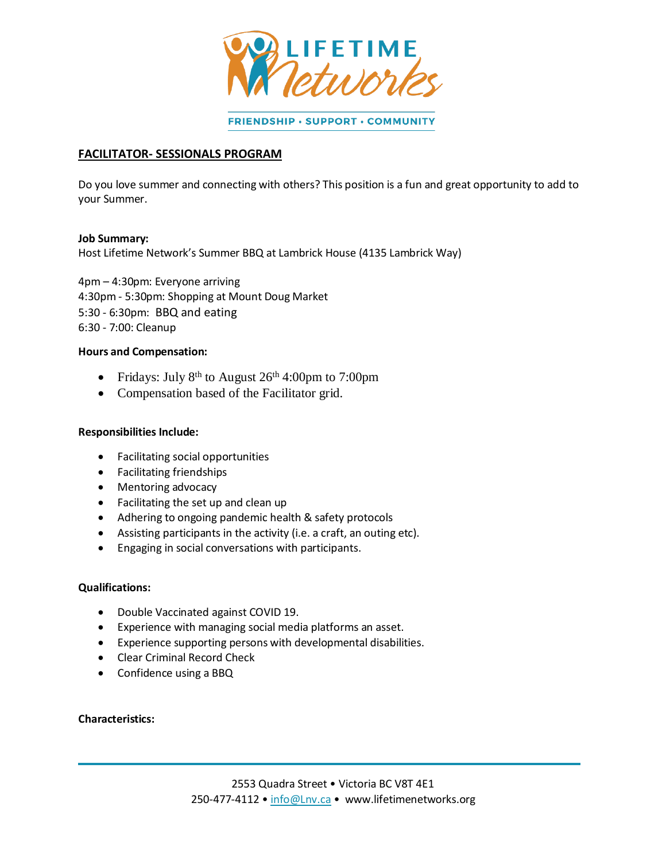

FRIENDSHIP · SUPPORT · COMMUNITY

## **FACILITATOR- SESSIONALS PROGRAM**

Do you love summer and connecting with others? This position is a fun and great opportunity to add to your Summer.

#### **Job Summary:**

Host Lifetime Network's Summer BBQ at Lambrick House (4135 Lambrick Way)

4pm – 4:30pm: Everyone arriving 4:30pm - 5:30pm: Shopping at Mount Doug Market 5:30 - 6:30pm: BBQ and eating 6:30 - 7:00: Cleanup

#### **Hours and Compensation:**

- Fridays: July 8<sup>th</sup> to August  $26<sup>th</sup> 4:00 \text{pm}$  to 7:00pm
- Compensation based of the Facilitator grid.

### **Responsibilities Include:**

- Facilitating social opportunities
- Facilitating friendships
- Mentoring advocacy
- Facilitating the set up and clean up
- Adhering to ongoing pandemic health & safety protocols
- Assisting participants in the activity (i.e. a craft, an outing etc).
- Engaging in social conversations with participants.

### **Qualifications:**

- Double Vaccinated against COVID 19.
- Experience with managing social media platforms an asset.
- Experience supporting persons with developmental disabilities.
- Clear Criminal Record Check
- Confidence using a BBQ

#### **Characteristics:**